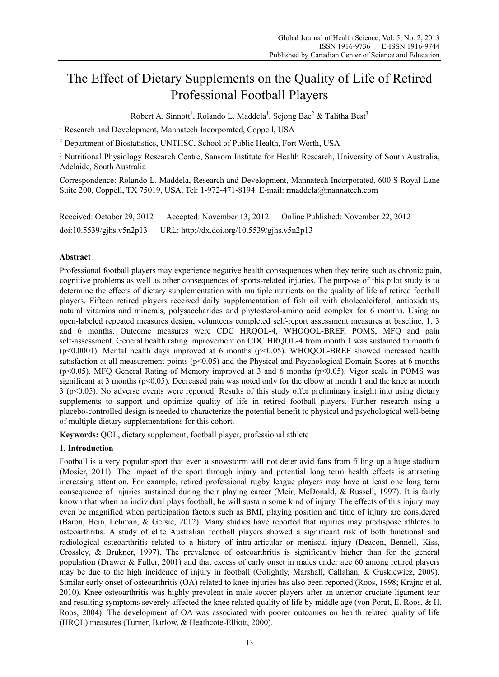# The Effect of Dietary Supplements on the Quality of Life of Retired Professional Football Players

Robert A. Sinnott<sup>1</sup>, Rolando L. Maddela<sup>1</sup>, Sejong Bae<sup>2</sup> & Talitha Best<sup>3</sup>

<sup>1</sup> Research and Development, Mannatech Incorporated, Coppell, USA

<sup>2</sup> Department of Biostatistics, UNTHSC, School of Public Health, Fort Worth, USA

<sup>3</sup> Nutritional Physiology Research Centre, Sansom Institute for Health Research, University of South Australia, Adelaide, South Australia

Correspondence: Rolando L. Maddela, Research and Development, Mannatech Incorporated, 600 S Royal Lane Suite 200, Coppell, TX 75019, USA. Tel: 1-972-471-8194. E-mail: rmaddela@mannatech.com

Received: October 29, 2012 Accepted: November 13, 2012 Online Published: November 22, 2012 doi:10.5539/gjhs.v5n2p13 URL: http://dx.doi.org/10.5539/gjhs.v5n2p13

# **Abstract**

Professional football players may experience negative health consequences when they retire such as chronic pain, cognitive problems as well as other consequences of sports-related injuries. The purpose of this pilot study is to determine the effects of dietary supplementation with multiple nutrients on the quality of life of retired football players. Fifteen retired players received daily supplementation of fish oil with cholecalciferol, antioxidants, natural vitamins and minerals, polysaccharides and phytosterol-amino acid complex for 6 months. Using an open-labeled repeated measures design, volunteers completed self-report assessment measures at baseline, 1, 3 and 6 months. Outcome measures were CDC HRQOL-4, WHOQOL-BREF, POMS, MFQ and pain self-assessment. General health rating improvement on CDC HRQOL-4 from month 1 was sustained to month 6 (p<0.0001). Mental health days improved at 6 months (p<0.05). WHOQOL-BREF showed increased health satisfaction at all measurement points (p<0.05) and the Physical and Psychological Domain Scores at 6 months (p<0.05). MFQ General Rating of Memory improved at 3 and 6 months (p<0.05). Vigor scale in POMS was significant at 3 months ( $p<0.05$ ). Decreased pain was noted only for the elbow at month 1 and the knee at month 3 (p<0.05). No adverse events were reported. Results of this study offer preliminary insight into using dietary supplements to support and optimize quality of life in retired football players. Further research using a placebo-controlled design is needed to characterize the potential benefit to physical and psychological well-being of multiple dietary supplementations for this cohort.

**Keywords:** QOL, dietary supplement, football player, professional athlete

# **1. Introduction**

Football is a very popular sport that even a snowstorm will not deter avid fans from filling up a huge stadium (Mosier, 2011). The impact of the sport through injury and potential long term health effects is attracting increasing attention. For example, retired professional rugby league players may have at least one long term consequence of injuries sustained during their playing career (Meir, McDonald, & Russell, 1997). It is fairly known that when an individual plays football, he will sustain some kind of injury. The effects of this injury may even be magnified when participation factors such as BMI, playing position and time of injury are considered (Baron, Hein, Lehman, & Gersic, 2012). Many studies have reported that injuries may predispose athletes to osteoarthritis. A study of elite Australian football players showed a significant risk of both functional and radiological osteoarthritis related to a history of intra-articular or meniscal injury (Deacon, Bennell, Kiss, Crossley, & Brukner, 1997). The prevalence of osteoarthritis is significantly higher than for the general population (Drawer & Fuller, 2001) and that excess of early onset in males under age 60 among retired players may be due to the high incidence of injury in football (Golightly, Marshall, Callahan, & Guskiewicz, 2009). Similar early onset of osteoarthritis (OA) related to knee injuries has also been reported (Roos, 1998; Krajnc et al, 2010). Knee osteoarthritis was highly prevalent in male soccer players after an anterior cruciate ligament tear and resulting symptoms severely affected the knee related quality of life by middle age (von Porat, E. Roos, & H. Roos, 2004). The development of OA was associated with poorer outcomes on health related quality of life (HRQL) measures (Turner, Barlow, & Heathcote-Elliott, 2000).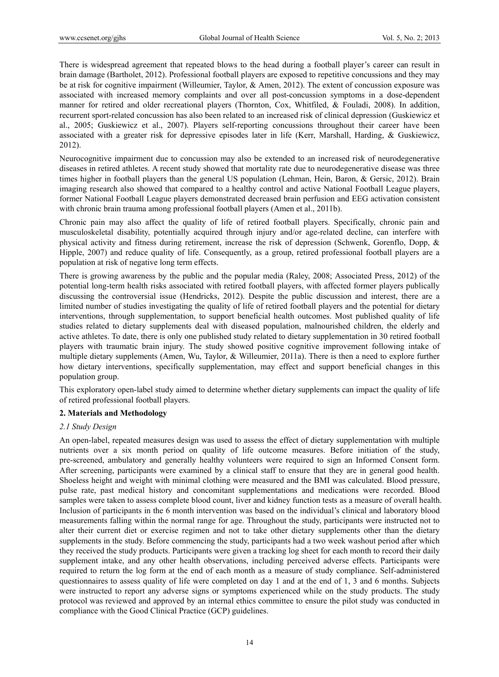There is widespread agreement that repeated blows to the head during a football player's career can result in brain damage (Bartholet, 2012). Professional football players are exposed to repetitive concussions and they may be at risk for cognitive impairment (Willeumier, Taylor, & Amen, 2012). The extent of concussion exposure was associated with increased memory complaints and over all post-concussion symptoms in a dose-dependent manner for retired and older recreational players (Thornton, Cox, Whitfiled, & Fouladi, 2008). In addition, recurrent sport-related concussion has also been related to an increased risk of clinical depression (Guskiewicz et al., 2005; Guskiewicz et al., 2007). Players self-reporting concussions throughout their career have been associated with a greater risk for depressive episodes later in life (Kerr, Marshall, Harding, & Guskiewicz, 2012).

Neurocognitive impairment due to concussion may also be extended to an increased risk of neurodegenerative diseases in retired athletes. A recent study showed that mortality rate due to neurodegenerative disease was three times higher in football players than the general US population (Lehman, Hein, Baron, & Gersic, 2012). Brain imaging research also showed that compared to a healthy control and active National Football League players, former National Football League players demonstrated decreased brain perfusion and EEG activation consistent with chronic brain trauma among professional football players (Amen et al., 2011b).

Chronic pain may also affect the quality of life of retired football players. Specifically, chronic pain and musculoskeletal disability, potentially acquired through injury and/or age-related decline, can interfere with physical activity and fitness during retirement, increase the risk of depression (Schwenk, Gorenflo, Dopp, & Hipple, 2007) and reduce quality of life. Consequently, as a group, retired professional football players are a population at risk of negative long term effects.

There is growing awareness by the public and the popular media (Raley, 2008; Associated Press, 2012) of the potential long-term health risks associated with retired football players, with affected former players publically discussing the controversial issue (Hendricks, 2012). Despite the public discussion and interest, there are a limited number of studies investigating the quality of life of retired football players and the potential for dietary interventions, through supplementation, to support beneficial health outcomes. Most published quality of life studies related to dietary supplements deal with diseased population, malnourished children, the elderly and active athletes. To date, there is only one published study related to dietary supplementation in 30 retired football players with traumatic brain injury. The study showed positive cognitive improvement following intake of multiple dietary supplements (Amen, Wu, Taylor, & Willeumier, 2011a). There is then a need to explore further how dietary interventions, specifically supplementation, may effect and support beneficial changes in this population group.

This exploratory open-label study aimed to determine whether dietary supplements can impact the quality of life of retired professional football players.

# **2. Materials and Methodology**

### *2.1 Study Design*

An open-label, repeated measures design was used to assess the effect of dietary supplementation with multiple nutrients over a six month period on quality of life outcome measures. Before initiation of the study, pre-screened, ambulatory and generally healthy volunteers were required to sign an Informed Consent form. After screening, participants were examined by a clinical staff to ensure that they are in general good health. Shoeless height and weight with minimal clothing were measured and the BMI was calculated. Blood pressure, pulse rate, past medical history and concomitant supplementations and medications were recorded. Blood samples were taken to assess complete blood count, liver and kidney function tests as a measure of overall health. Inclusion of participants in the 6 month intervention was based on the individual's clinical and laboratory blood measurements falling within the normal range for age. Throughout the study, participants were instructed not to alter their current diet or exercise regimen and not to take other dietary supplements other than the dietary supplements in the study. Before commencing the study, participants had a two week washout period after which they received the study products. Participants were given a tracking log sheet for each month to record their daily supplement intake, and any other health observations, including perceived adverse effects. Participants were required to return the log form at the end of each month as a measure of study compliance. Self-administered questionnaires to assess quality of life were completed on day 1 and at the end of 1, 3 and 6 months. Subjects were instructed to report any adverse signs or symptoms experienced while on the study products. The study protocol was reviewed and approved by an internal ethics committee to ensure the pilot study was conducted in compliance with the Good Clinical Practice (GCP) guidelines.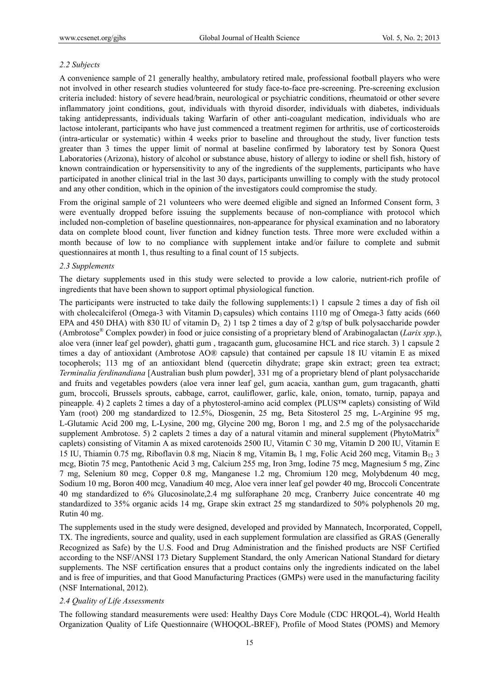## *2.2 Subjects*

A convenience sample of 21 generally healthy, ambulatory retired male, professional football players who were not involved in other research studies volunteered for study face-to-face pre-screening. Pre-screening exclusion criteria included: history of severe head/brain, neurological or psychiatric conditions, rheumatoid or other severe inflammatory joint conditions, gout, individuals with thyroid disorder, individuals with diabetes, individuals taking antidepressants, individuals taking Warfarin of other anti-coagulant medication, individuals who are lactose intolerant, participants who have just commenced a treatment regimen for arthritis, use of corticosteroids (intra-articular or systematic) within 4 weeks prior to baseline and throughout the study, liver function tests greater than 3 times the upper limit of normal at baseline confirmed by laboratory test by Sonora Quest Laboratories (Arizona), history of alcohol or substance abuse, history of allergy to iodine or shell fish, history of known contraindication or hypersensitivity to any of the ingredients of the supplements, participants who have participated in another clinical trial in the last 30 days, participants unwilling to comply with the study protocol and any other condition, which in the opinion of the investigators could compromise the study.

From the original sample of 21 volunteers who were deemed eligible and signed an Informed Consent form, 3 were eventually dropped before issuing the supplements because of non-compliance with protocol which included non-completion of baseline questionnaires, non-appearance for physical examination and no laboratory data on complete blood count, liver function and kidney function tests. Three more were excluded within a month because of low to no compliance with supplement intake and/or failure to complete and submit questionnaires at month 1, thus resulting to a final count of 15 subjects.

## *2.3 Supplements*

The dietary supplements used in this study were selected to provide a low calorie, nutrient-rich profile of ingredients that have been shown to support optimal physiological function.

The participants were instructed to take daily the following supplements:1) 1 capsule 2 times a day of fish oil with cholecalciferol (Omega-3 with Vitamin  $D_3$  capsules) which contains 1110 mg of Omega-3 fatty acids (660) EPA and 450 DHA) with 830 IU of vitamin  $D_3$ . 2) 1 tsp 2 times a day of 2 g/tsp of bulk polysaccharide powder (Ambrotose® Complex powder) in food or juice consisting of a proprietary blend of Arabinogalactan (*Larix spp*.), aloe vera (inner leaf gel powder), ghatti gum , tragacanth gum, glucosamine HCL and rice starch. 3) 1 capsule 2 times a day of antioxidant (Ambrotose AO® capsule) that contained per capsule 18 IU vitamin E as mixed tocopherols; 113 mg of an antioxidant blend (quercetin dihydrate; grape skin extract; green tea extract; *Terminalia ferdinandiana* [Australian bush plum powder], 331 mg of a proprietary blend of plant polysaccharide and fruits and vegetables powders (aloe vera inner leaf gel, gum acacia, xanthan gum, gum tragacanth, ghatti gum, broccoli, Brussels sprouts, cabbage, carrot, cauliflower, garlic, kale, onion, tomato, turnip, papaya and pineapple. 4) 2 caplets 2 times a day of a phytosterol-amino acid complex (PLUS™ caplets) consisting of Wild Yam (root) 200 mg standardized to 12.5%, Diosgenin, 25 mg, Beta Sitosterol 25 mg, L-Arginine 95 mg, L-Glutamic Acid 200 mg, L-Lysine, 200 mg, Glycine 200 mg, Boron 1 mg, and 2.5 mg of the polysaccharide supplement Ambrotose. 5) 2 caplets 2 times a day of a natural vitamin and mineral supplement (PhytoMatrix<sup>®</sup> caplets) consisting of Vitamin A as mixed carotenoids 2500 IU, Vitamin C 30 mg, Vitamin D 200 IU, Vitamin E 15 IU, Thiamin 0.75 mg, Riboflavin 0.8 mg, Niacin 8 mg, Vitamin  $B_6$  1 mg, Folic Acid 260 mcg, Vitamin  $B_{12}$  3 mcg, Biotin 75 mcg, Pantothenic Acid 3 mg, Calcium 255 mg, Iron 3mg, Iodine 75 mcg, Magnesium 5 mg, Zinc 7 mg, Selenium 80 mcg, Copper 0.8 mg, Manganese 1.2 mg, Chromium 120 mcg, Molybdenum 40 mcg, Sodium 10 mg, Boron 400 mcg, Vanadium 40 mcg, Aloe vera inner leaf gel powder 40 mg, Broccoli Concentrate 40 mg standardized to 6% Glucosinolate,2.4 mg sulforaphane 20 mcg, Cranberry Juice concentrate 40 mg standardized to 35% organic acids 14 mg, Grape skin extract 25 mg standardized to 50% polyphenols 20 mg, Rutin 40 mg.

The supplements used in the study were designed, developed and provided by Mannatech, Incorporated, Coppell, TX. The ingredients, source and quality, used in each supplement formulation are classified as GRAS (Generally Recognized as Safe) by the U.S. Food and Drug Administration and the finished products are NSF Certified according to the NSF/ANSI 173 Dietary Supplement Standard, the only American National Standard for dietary supplements. The NSF certification ensures that a product contains only the ingredients indicated on the label and is free of impurities, and that Good Manufacturing Practices (GMPs) were used in the manufacturing facility (NSF International, 2012).

# *2.4 Quality of Life Assessments*

The following standard measurements were used: Healthy Days Core Module (CDC HRQOL-4), World Health Organization Quality of Life Questionnaire (WHOQOL-BREF), Profile of Mood States (POMS) and Memory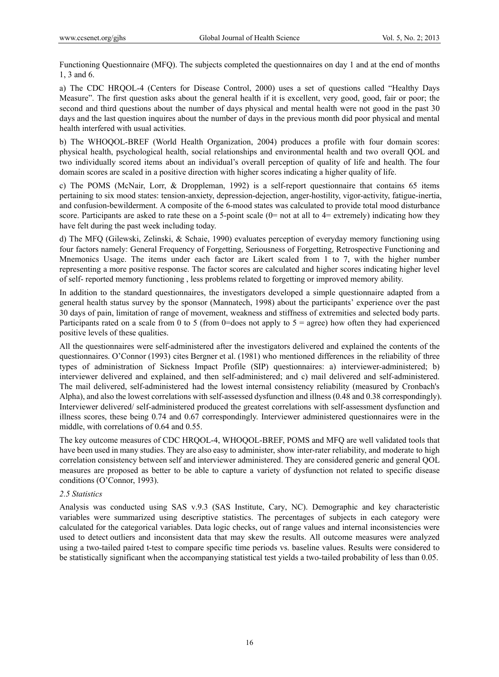Functioning Questionnaire (MFQ). The subjects completed the questionnaires on day 1 and at the end of months 1, 3 and 6.

a) The CDC HRQOL-4 (Centers for Disease Control, 2000) uses a set of questions called "Healthy Days Measure". The first question asks about the general health if it is excellent, very good, good, fair or poor; the second and third questions about the number of days physical and mental health were not good in the past 30 days and the last question inquires about the number of days in the previous month did poor physical and mental health interfered with usual activities.

b) The WHOQOL-BREF (World Health Organization, 2004) produces a profile with four domain scores: physical health, psychological health, social relationships and environmental health and two overall QOL and two individually scored items about an individual's overall perception of quality of life and health. The four domain scores are scaled in a positive direction with higher scores indicating a higher quality of life.

c) The POMS (McNair, Lorr, & Droppleman, 1992) is a self-report questionnaire that contains 65 items pertaining to six mood states: tension-anxiety, depression-dejection, anger-hostility, vigor-activity, fatigue-inertia, and confusion-bewilderment. A composite of the 6-mood states was calculated to provide total mood disturbance score. Participants are asked to rate these on a 5-point scale  $(0=$  not at all to  $4=$  extremely) indicating how they have felt during the past week including today.

d) The MFQ (Gilewski, Zelinski, & Schaie, 1990) evaluates perception of everyday memory functioning using four factors namely: General Frequency of Forgetting, Seriousness of Forgetting, Retrospective Functioning and Mnemonics Usage. The items under each factor are Likert scaled from 1 to 7, with the higher number representing a more positive response. The factor scores are calculated and higher scores indicating higher level of self- reported memory functioning , less problems related to forgetting or improved memory ability.

In addition to the standard questionnaires, the investigators developed a simple questionnaire adapted from a general health status survey by the sponsor (Mannatech, 1998) about the participants' experience over the past 30 days of pain, limitation of range of movement, weakness and stiffness of extremities and selected body parts. Participants rated on a scale from 0 to 5 (from 0=does not apply to  $5 = \text{agree}$ ) how often they had experienced positive levels of these qualities.

All the questionnaires were self-administered after the investigators delivered and explained the contents of the questionnaires. O'Connor (1993) cites Bergner et al. (1981) who mentioned differences in the reliability of three types of administration of Sickness Impact Profile (SIP) questionnaires: a) interviewer-administered; b) interviewer delivered and explained, and then self-administered; and c) mail delivered and self-administered. The mail delivered, self-administered had the lowest internal consistency reliability (measured by Cronbach's Alpha), and also the lowest correlations with self-assessed dysfunction and illness (0.48 and 0.38 correspondingly). Interviewer delivered/ self-administered produced the greatest correlations with self-assessment dysfunction and illness scores, these being 0.74 and 0.67 correspondingly. Interviewer administered questionnaires were in the middle, with correlations of 0.64 and 0.55.

The key outcome measures of CDC HRQOL-4, WHOQOL-BREF, POMS and MFQ are well validated tools that have been used in many studies. They are also easy to administer, show inter-rater reliability, and moderate to high correlation consistency between self and interviewer administered. They are considered generic and general QOL measures are proposed as better to be able to capture a variety of dysfunction not related to specific disease conditions (O'Connor, 1993).

# *2.5 Statistics*

Analysis was conducted using SAS v.9.3 (SAS Institute, Cary, NC). Demographic and key characteristic variables were summarized using descriptive statistics. The percentages of subjects in each category were calculated for the categorical variables. Data logic checks, out of range values and internal inconsistencies were used to detect outliers and inconsistent data that may skew the results. All outcome measures were analyzed using a two-tailed paired t-test to compare specific time periods vs. baseline values. Results were considered to be statistically significant when the accompanying statistical test yields a two-tailed probability of less than 0.05.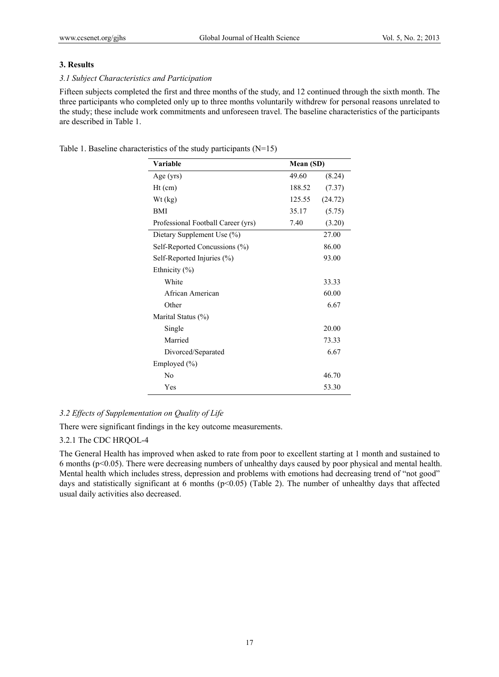## **3. Results**

## *3.1 Subject Characteristics and Participation*

Fifteen subjects completed the first and three months of the study, and 12 continued through the sixth month. The three participants who completed only up to three months voluntarily withdrew for personal reasons unrelated to the study; these include work commitments and unforeseen travel. The baseline characteristics of the participants are described in Table 1.

Table 1. Baseline characteristics of the study participants (N=15)

| Variable                           | Mean (SD) |         |
|------------------------------------|-----------|---------|
| Age $(yrs)$                        | 49.60     | (8.24)  |
| $Ht$ (cm)                          | 188.52    | (7.37)  |
| Wt (kg)                            | 125.55    | (24.72) |
| <b>BMI</b>                         | 35.17     | (5.75)  |
| Professional Football Career (yrs) | 7.40      | (3.20)  |
| Dietary Supplement Use (%)         |           | 27.00   |
| Self-Reported Concussions (%)      |           | 86.00   |
| Self-Reported Injuries (%)         |           | 93.00   |
| Ethnicity $(\% )$                  |           |         |
| White                              |           | 33.33   |
| African American                   |           | 60.00   |
| Other                              |           | 6.67    |
| Marital Status (%)                 |           |         |
| Single                             |           | 20.00   |
| Married                            |           | 73.33   |
| Divorced/Separated                 |           | 6.67    |
| Employed $(\% )$                   |           |         |
| N <sub>0</sub>                     |           | 46.70   |
| Yes                                |           | 53.30   |

# *3.2 Effects of Supplementation on Quality of Life*

There were significant findings in the key outcome measurements.

# 3.2.1 The CDC HRQOL-4

The General Health has improved when asked to rate from poor to excellent starting at 1 month and sustained to 6 months (p<0.05). There were decreasing numbers of unhealthy days caused by poor physical and mental health. Mental health which includes stress, depression and problems with emotions had decreasing trend of "not good" days and statistically significant at 6 months ( $p<0.05$ ) (Table 2). The number of unhealthy days that affected usual daily activities also decreased.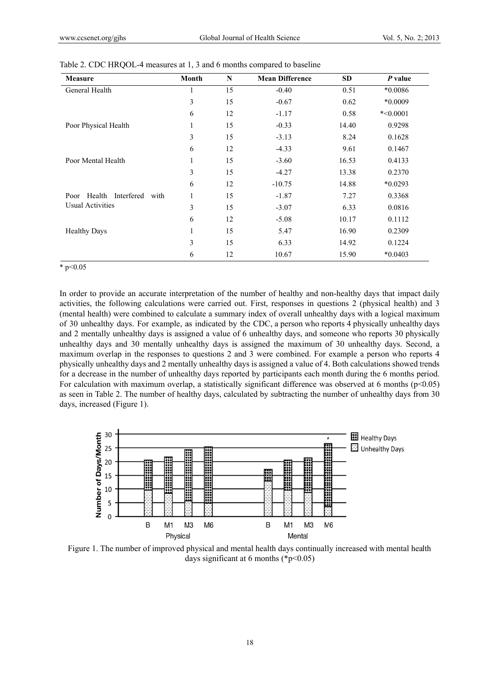| Measure                              | Month        | $\mathbf N$ | <b>Mean Difference</b> | <b>SD</b> | P value    |
|--------------------------------------|--------------|-------------|------------------------|-----------|------------|
| General Health                       | 1            | 15          | $-0.40$                | 0.51      | $*0.0086$  |
|                                      | 3            | 15          | $-0.67$                | 0.62      | *0.0009    |
|                                      | 6            | 12          | $-1.17$                | 0.58      | $*<0.0001$ |
| Poor Physical Health                 | $\mathbf{1}$ | 15          | $-0.33$                | 14.40     | 0.9298     |
|                                      | 3            | 15          | $-3.13$                | 8.24      | 0.1628     |
|                                      | 6            | 12          | $-4.33$                | 9.61      | 0.1467     |
| Poor Mental Health                   | $\mathbf{1}$ | 15          | $-3.60$                | 16.53     | 0.4133     |
|                                      | 3            | 15          | $-4.27$                | 13.38     | 0.2370     |
|                                      | 6            | 12          | $-10.75$               | 14.88     | $*0.0293$  |
| Health<br>Interfered<br>Poor<br>with | $\mathbf{1}$ | 15          | $-1.87$                | 7.27      | 0.3368     |
| <b>Usual Activities</b>              | 3            | 15          | $-3.07$                | 6.33      | 0.0816     |
|                                      | 6            | 12          | $-5.08$                | 10.17     | 0.1112     |
| <b>Healthy Days</b>                  | $\mathbf{1}$ | 15          | 5.47                   | 16.90     | 0.2309     |
|                                      | 3            | 15          | 6.33                   | 14.92     | 0.1224     |
|                                      | 6            | 12          | 10.67                  | 15.90     | $*0.0403$  |

Table 2. CDC HRQOL-4 measures at 1, 3 and 6 months compared to baseline

\*  $p<0.05$ 

In order to provide an accurate interpretation of the number of healthy and non-healthy days that impact daily activities, the following calculations were carried out. First, responses in questions 2 (physical health) and 3 (mental health) were combined to calculate a summary index of overall unhealthy days with a logical maximum of 30 unhealthy days. For example, as indicated by the CDC, a person who reports 4 physically unhealthy days and 2 mentally unhealthy days is assigned a value of 6 unhealthy days, and someone who reports 30 physically unhealthy days and 30 mentally unhealthy days is assigned the maximum of 30 unhealthy days. Second, a maximum overlap in the responses to questions 2 and 3 were combined. For example a person who reports 4 physically unhealthy days and 2 mentally unhealthy days is assigned a value of 4. Both calculations showed trends for a decrease in the number of unhealthy days reported by participants each month during the 6 months period. For calculation with maximum overlap, a statistically significant difference was observed at 6 months ( $p<0.05$ ) as seen in Table 2. The number of healthy days, calculated by subtracting the number of unhealthy days from 30 days, increased (Figure 1).



Figure 1. The number of improved physical and mental health days continually increased with mental health days significant at 6 months ( $\degree$ p<0.05)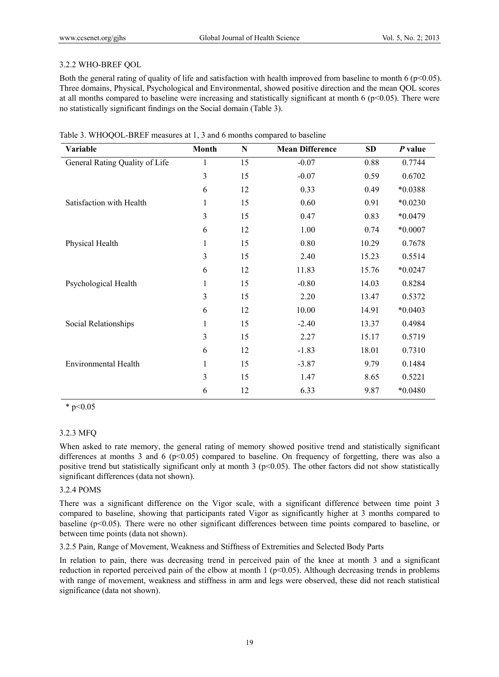## 3.2.2 WHO-BREF QOL

Both the general rating of quality of life and satisfaction with health improved from baseline to month 6 ( $p<0.05$ ). Three domains, Physical, Psychological and Environmental, showed positive direction and the mean QOL scores at all months compared to baseline were increasing and statistically significant at month 6 ( $p<0.05$ ). There were no statistically significant findings on the Social domain (Table 3).

| Variable                       | <b>Month</b> | N  | <b>Mean Difference</b> | <b>SD</b> | P value   |
|--------------------------------|--------------|----|------------------------|-----------|-----------|
| General Rating Quality of Life | 1            | 15 | $-0.07$                | 0.88      | 0.7744    |
|                                | 3            | 15 | $-0.07$                | 0.59      | 0.6702    |
|                                | 6            | 12 | 0.33                   | 0.49      | *0.0388   |
| Satisfaction with Health       | 1            | 15 | 0.60                   | 0.91      | $*0.0230$ |
|                                | 3            | 15 | 0.47                   | 0.83      | $*0.0479$ |
|                                | 6            | 12 | 1.00                   | 0.74      | $*0.0007$ |
| Physical Health                | 1            | 15 | 0.80                   | 10.29     | 0.7678    |
|                                | 3            | 15 | 2.40                   | 15.23     | 0.5514    |
|                                | 6            | 12 | 11.83                  | 15.76     | $*0.0247$ |
| Psychological Health           | 1            | 15 | $-0.80$                | 14.03     | 0.8284    |
|                                | 3            | 15 | 2.20                   | 13.47     | 0.5372    |
|                                | 6            | 12 | 10.00                  | 14.91     | $*0.0403$ |
| Social Relationships           | 1            | 15 | $-2.40$                | 13.37     | 0.4984    |
|                                | 3            | 15 | 2.27                   | 15.17     | 0.5719    |
|                                | 6            | 12 | $-1.83$                | 18.01     | 0.7310    |
| <b>Environmental Health</b>    | 1            | 15 | $-3.87$                | 9.79      | 0.1484    |
|                                | 3            | 15 | 1.47                   | 8.65      | 0.5221    |
|                                | 6            | 12 | 6.33                   | 9.87      | *0.0480   |

|  |  |  | Table 3. WHOQOL-BREF measures at 1, 3 and 6 months compared to baseline |
|--|--|--|-------------------------------------------------------------------------|
|--|--|--|-------------------------------------------------------------------------|

 $*$  p<0.05

# 3.2.3 MFQ

When asked to rate memory, the general rating of memory showed positive trend and statistically significant differences at months 3 and 6 ( $p<0.05$ ) compared to baseline. On frequency of forgetting, there was also a positive trend but statistically significant only at month 3 ( $p<0.05$ ). The other factors did not show statistically significant differences (data not shown).

## 3.2.4 POMS

There was a significant difference on the Vigor scale, with a significant difference between time point 3 compared to baseline, showing that participants rated Vigor as significantly higher at 3 months compared to baseline (p<0.05). There were no other significant differences between time points compared to baseline, or between time points (data not shown).

3.2.5 Pain, Range of Movement, Weakness and Stiffness of Extremities and Selected Body Parts

In relation to pain, there was decreasing trend in perceived pain of the knee at month 3 and a significant reduction in reported perceived pain of the elbow at month  $1 (p<0.05)$ . Although decreasing trends in problems with range of movement, weakness and stiffness in arm and legs were observed, these did not reach statistical significance (data not shown).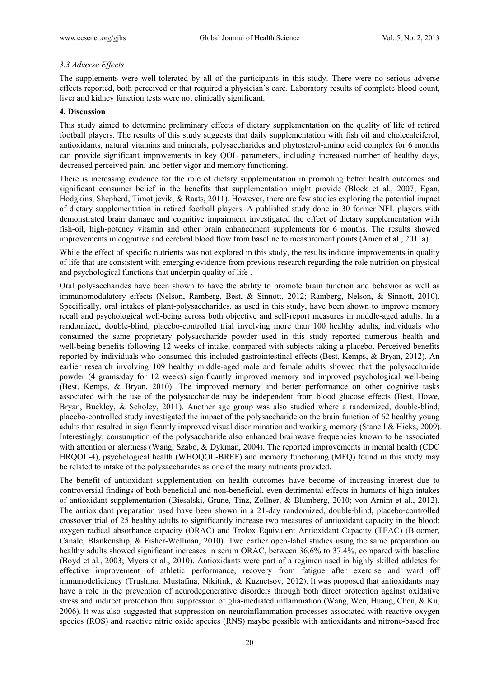# *3.3 Adverse Effects*

The supplements were well-tolerated by all of the participants in this study. There were no serious adverse effects reported, both perceived or that required a physician's care. Laboratory results of complete blood count, liver and kidney function tests were not clinically significant.

# **4. Discussion**

This study aimed to determine preliminary effects of dietary supplementation on the quality of life of retired football players. The results of this study suggests that daily supplementation with fish oil and cholecalciferol, antioxidants, natural vitamins and minerals, polysaccharides and phytosterol-amino acid complex for 6 months can provide significant improvements in key QOL parameters, including increased number of healthy days, decreased perceived pain, and better vigor and memory functioning.

There is increasing evidence for the role of dietary supplementation in promoting better health outcomes and significant consumer belief in the benefits that supplementation might provide (Block et al., 2007; Egan, Hodgkins, Shepherd, Timotijevik, & Raats, 2011). However, there are few studies exploring the potential impact of dietary supplementation in retired football players. A published study done in 30 former NFL players with demonstrated brain damage and cognitive impairment investigated the effect of dietary supplementation with fish-oil, high-potency vitamin and other brain enhancement supplements for 6 months. The results showed improvements in cognitive and cerebral blood flow from baseline to measurement points (Amen et al., 2011a).

While the effect of specific nutrients was not explored in this study, the results indicate improvements in quality of life that are consistent with emerging evidence from previous research regarding the role nutrition on physical and psychological functions that underpin quality of life .

Oral polysaccharides have been shown to have the ability to promote brain function and behavior as well as immunomodulatory effects (Nelson, Ramberg, Best, & Sinnott, 2012; Ramberg, Nelson, & Sinnott, 2010). Specifically, oral intakes of plant-polysaccharides, as used in this study, have been shown to improve memory recall and psychological well-being across both objective and self-report measures in middle-aged adults. In a randomized, double-blind, placebo-controlled trial involving more than 100 healthy adults, individuals who consumed the same proprietary polysaccharide powder used in this study reported numerous health and well-being benefits following 12 weeks of intake, compared with subjects taking a placebo. Perceived benefits reported by individuals who consumed this included gastrointestinal effects (Best, Kemps, & Bryan, 2012). An earlier research involving 109 healthy middle-aged male and female adults showed that the polysaccharide powder (4 grams/day for 12 weeks) significantly improved memory and improved psychological well-being (Best, Kemps, & Bryan, 2010). The improved memory and better performance on other cognitive tasks associated with the use of the polysaccharide may be independent from blood glucose effects (Best, Howe, Bryan, Buckley, & Scholey, 2011). Another age group was also studied where a randomized, double-blind, placebo-controlled study investigated the impact of the polysaccharide on the brain function of 62 healthy young adults that resulted in significantly improved visual discrimination and working memory (Stancil & Hicks, 2009). Interestingly, consumption of the polysaccharide also enhanced brainwave frequencies known to be associated with attention or alertness (Wang, Szabo, & Dykman, 2004). The reported improvements in mental health (CDC) HRQOL-4), psychological health (WHOQOL-BREF) and memory functioning (MFQ) found in this study may be related to intake of the polysaccharides as one of the many nutrients provided.

The benefit of antioxidant supplementation on health outcomes have become of increasing interest due to controversial findings of both beneficial and non-beneficial, even detrimental effects in humans of high intakes of antioxidant supplementation (Biesalski, Grune, Tinz, Zollner, & Blumberg, 2010; von Arnim et al., 2012). The antioxidant preparation used have been shown in a 21-day randomized, double-blind, placebo-controlled crossover trial of 25 healthy adults to significantly increase two measures of antioxidant capacity in the blood: oxygen radical absorbance capacity (ORAC) and Trolox Equivalent Antioxidant Capacity (TEAC) (Bloomer, Canale, Blankenship, & Fisher-Wellman, 2010). Two earlier open-label studies using the same preparation on healthy adults showed significant increases in serum ORAC, between 36.6% to 37.4%, compared with baseline (Boyd et al., 2003; Myers et al., 2010). Antioxidants were part of a regimen used in highly skilled athletes for effective improvement of athletic performance, recovery from fatigue after exercise and ward off immunodeficiency (Trushina, Mustafina, Nikitiuk, & Kuznetsov, 2012). It was proposed that antioxidants may have a role in the prevention of neurodegenerative disorders through both direct protection against oxidative stress and indirect protection thru suppression of glia-mediated inflammation (Wang, Wen, Huang, Chen, & Ku, 2006). It was also suggested that suppression on neuroinflammation processes associated with reactive oxygen species (ROS) and reactive nitric oxide species (RNS) maybe possible with antioxidants and nitrone-based free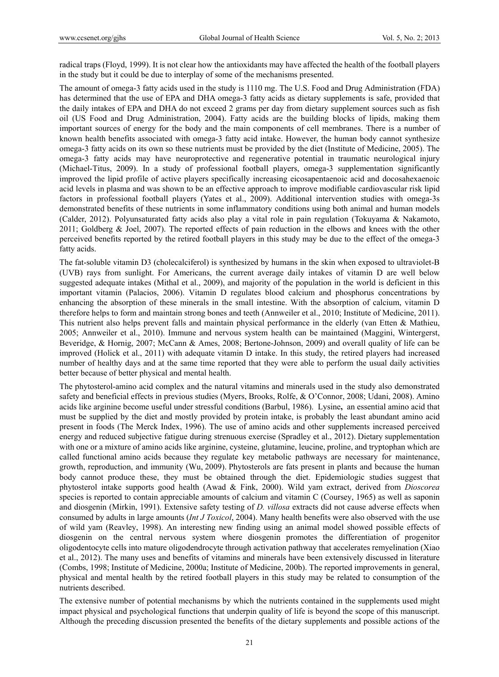radical traps (Floyd, 1999). It is not clear how the antioxidants may have affected the health of the football players in the study but it could be due to interplay of some of the mechanisms presented.

The amount of omega-3 fatty acids used in the study is 1110 mg. The U.S. Food and Drug Administration (FDA) has determined that the use of EPA and DHA omega-3 fatty acids as dietary supplements is safe, provided that the daily intakes of EPA and DHA do not exceed 2 grams per day from dietary supplement sources such as fish oil (US Food and Drug Administration, 2004). Fatty acids are the building blocks of lipids, making them important sources of energy for the body and the main components of cell membranes. There is a number of known health benefits associated with omega-3 fatty acid intake. However, the human body cannot synthesize omega-3 fatty acids on its own so these nutrients must be provided by the diet (Institute of Medicine, 2005). The omega-3 fatty acids may have neuroprotective and regenerative potential in traumatic neurological injury (Michael-Titus, 2009). In a study of professional football players, omega-3 supplementation significantly improved the lipid profile of active players specifically increasing eicosapentaenoic acid and docosahexaenoic acid levels in plasma and was shown to be an effective approach to improve modifiable cardiovascular risk lipid factors in professional football players (Yates et al., 2009). Additional intervention studies with omega-3s demonstrated benefits of these nutrients in some inflammatory conditions using both animal and human models (Calder, 2012). Polyunsaturated fatty acids also play a vital role in pain regulation (Tokuyama & Nakamoto, 2011; Goldberg & Joel, 2007). The reported effects of pain reduction in the elbows and knees with the other perceived benefits reported by the retired football players in this study may be due to the effect of the omega-3 fatty acids.

The fat-soluble vitamin D3 (cholecalciferol) is synthesized by humans in the skin when exposed to ultraviolet-B (UVB) rays from sunlight. For Americans, the current average daily intakes of vitamin D are well below suggested adequate intakes (Mithal et al., 2009), and majority of the population in the world is deficient in this important vitamin (Palacios, 2006). Vitamin D regulates blood calcium and phosphorus concentrations by enhancing the absorption of these minerals in the small intestine. With the absorption of calcium, vitamin D therefore helps to form and maintain strong bones and teeth (Annweiler et al., 2010; Institute of Medicine, 2011). This nutrient also helps prevent falls and maintain physical performance in the elderly (van Etten & Mathieu, 2005; Annweiler et al., 2010). Immune and nervous system health can be maintained (Maggini, Wintergerst, Beveridge, & Hornig, 2007; McCann & Ames, 2008; Bertone-Johnson, 2009) and overall quality of life can be improved (Holick et al., 2011) with adequate vitamin D intake. In this study, the retired players had increased number of healthy days and at the same time reported that they were able to perform the usual daily activities better because of better physical and mental health.

The phytosterol-amino acid complex and the natural vitamins and minerals used in the study also demonstrated safety and beneficial effects in previous studies (Myers, Brooks, Rolfe, & O'Connor, 2008; Udani, 2008). Amino acids like arginine become useful under stressful conditions (Barbul, 1986). Lysine**,** an essential amino acid that must be supplied by the diet and mostly provided by protein intake, is probably the least abundant amino acid present in foods (The Merck Index, 1996). The use of amino acids and other supplements increased perceived energy and reduced subjective fatigue during strenuous exercise (Spradley et al., 2012). Dietary supplementation with one or a mixture of amino acids like arginine, cysteine, glutamine, leucine, proline, and tryptophan which are called functional amino acids because they regulate key metabolic pathways are necessary for maintenance, growth, reproduction, and immunity (Wu, 2009). Phytosterols are fats present in plants and because the human body cannot produce these, they must be obtained through the diet. Epidemiologic studies suggest that phytosterol intake supports good health (Awad & Fink, 2000). Wild yam extract, derived from *Dioscorea*  species is reported to contain appreciable amounts of calcium and vitamin C (Coursey, 1965) as well as saponin and diosgenin (Mirkin, 1991). Extensive safety testing of *D. villosa* extracts did not cause adverse effects when consumed by adults in large amounts (*Int J Toxicol*, 2004). Many health benefits were also observed with the use of wild yam (Reavley, 1998). An interesting new finding using an animal model showed possible effects of diosgenin on the central nervous system where diosgenin promotes the differentiation of progenitor oligodentocyte cells into mature oligodendrocyte through activation pathway that accelerates remyelination (Xiao et al., 2012). The many uses and benefits of vitamins and minerals have been extensively discussed in literature (Combs, 1998; Institute of Medicine, 2000a; Institute of Medicine, 200b). The reported improvements in general, physical and mental health by the retired football players in this study may be related to consumption of the nutrients described.

The extensive number of potential mechanisms by which the nutrients contained in the supplements used might impact physical and psychological functions that underpin quality of life is beyond the scope of this manuscript. Although the preceding discussion presented the benefits of the dietary supplements and possible actions of the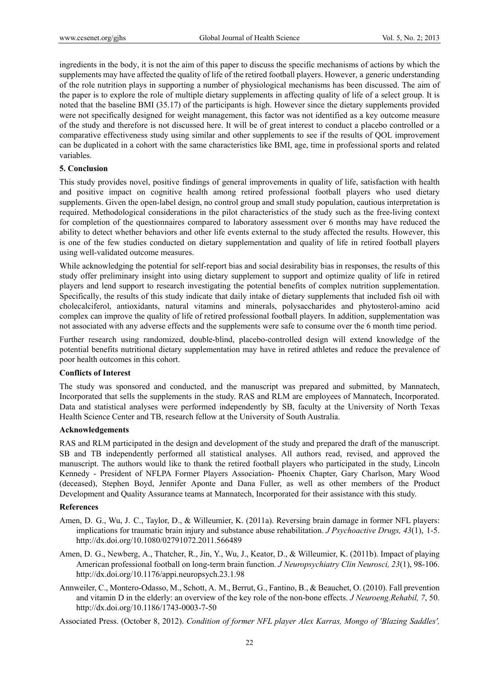ingredients in the body, it is not the aim of this paper to discuss the specific mechanisms of actions by which the supplements may have affected the quality of life of the retired football players. However, a generic understanding of the role nutrition plays in supporting a number of physiological mechanisms has been discussed. The aim of the paper is to explore the role of multiple dietary supplements in affecting quality of life of a select group. It is noted that the baseline BMI (35.17) of the participants is high. However since the dietary supplements provided were not specifically designed for weight management, this factor was not identified as a key outcome measure of the study and therefore is not discussed here. It will be of great interest to conduct a placebo controlled or a comparative effectiveness study using similar and other supplements to see if the results of QOL improvement can be duplicated in a cohort with the same characteristics like BMI, age, time in professional sports and related variables.

## **5. Conclusion**

This study provides novel, positive findings of general improvements in quality of life, satisfaction with health and positive impact on cognitive health among retired professional football players who used dietary supplements. Given the open-label design, no control group and small study population, cautious interpretation is required. Methodological considerations in the pilot characteristics of the study such as the free-living context for completion of the questionnaires compared to laboratory assessment over 6 months may have reduced the ability to detect whether behaviors and other life events external to the study affected the results. However, this is one of the few studies conducted on dietary supplementation and quality of life in retired football players using well-validated outcome measures.

While acknowledging the potential for self-report bias and social desirability bias in responses, the results of this study offer preliminary insight into using dietary supplement to support and optimize quality of life in retired players and lend support to research investigating the potential benefits of complex nutrition supplementation. Specifically, the results of this study indicate that daily intake of dietary supplements that included fish oil with cholecalciferol, antioxidants, natural vitamins and minerals, polysaccharides and phytosterol-amino acid complex can improve the quality of life of retired professional football players. In addition, supplementation was not associated with any adverse effects and the supplements were safe to consume over the 6 month time period.

Further research using randomized, double-blind, placebo-controlled design will extend knowledge of the potential benefits nutritional dietary supplementation may have in retired athletes and reduce the prevalence of poor health outcomes in this cohort.

### **Conflicts of Interest**

The study was sponsored and conducted, and the manuscript was prepared and submitted, by Mannatech, Incorporated that sells the supplements in the study. RAS and RLM are employees of Mannatech, Incorporated. Data and statistical analyses were performed independently by SB, faculty at the University of North Texas Health Science Center and TB, research fellow at the University of South Australia.

### **Acknowledgements**

RAS and RLM participated in the design and development of the study and prepared the draft of the manuscript. SB and TB independently performed all statistical analyses. All authors read, revised, and approved the manuscript. The authors would like to thank the retired football players who participated in the study, Lincoln Kennedy - President of NFLPA Former Players Association- Phoenix Chapter, Gary Charlson, Mary Wood (deceased), Stephen Boyd, Jennifer Aponte and Dana Fuller, as well as other members of the Product Development and Quality Assurance teams at Mannatech, Incorporated for their assistance with this study.

### **References**

- Amen, D. G., Wu, J. C., Taylor, D., & Willeumier, K. (2011a). Reversing brain damage in former NFL players: implications for traumatic brain injury and substance abuse rehabilitation. *J Psychoactive Drugs, 43*(1), 1-5. http://dx.doi.org/10.1080/02791072.2011.566489
- Amen, D. G., Newberg, A., Thatcher, R., Jin, Y., Wu, J., Keator, D., & Willeumier, K. (2011b). Impact of playing American professional football on long-term brain function. *J Neuropsychiatry Clin Neurosci, 23*(1), 98-106. http://dx.doi.org/10.1176/appi.neuropsych.23.1.98
- Annweiler, C., Montero-Odasso, M., Schott, A. M., Berrut, G., Fantino, B., & Beauchet, O. (2010). Fall prevention and vitamin D in the elderly: an overview of the key role of the non-bone effects. *J Neuroeng.Rehabil, 7*, 50. http://dx.doi.org/10.1186/1743-0003-7-50
- Associated Press. (October 8, 2012). *Condition of former NFL player Alex Karras, Mongo of 'Blazing Saddles',*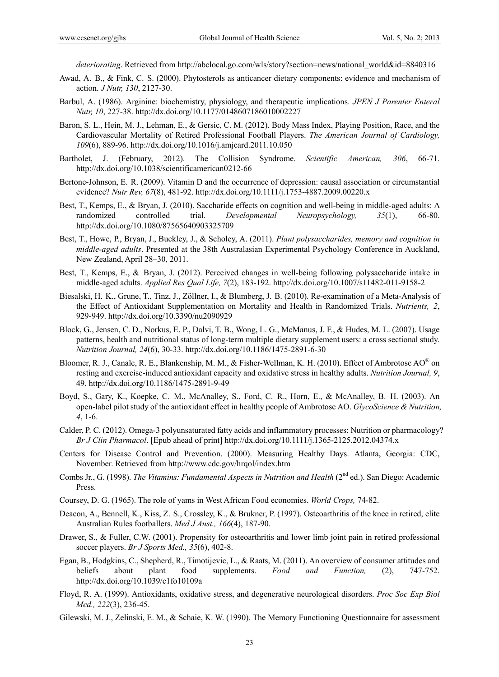*deteriorating*. Retrieved from http://abclocal.go.com/wls/story?section=news/national\_world&id=8840316

- Awad, A. B., & Fink, C. S. (2000). Phytosterols as anticancer dietary components: evidence and mechanism of action. *J Nutr, 130*, 2127-30.
- Barbul, A. (1986). Arginine: biochemistry, physiology, and therapeutic implications. *JPEN J Parenter Enteral Nutr, 10*, 227-38. http://dx.doi.org/10.1177/0148607186010002227
- Baron, S. L., Hein, M. J., Lehman, E., & Gersic, C. M. (2012). Body Mass Index, Playing Position, Race, and the Cardiovascular Mortality of Retired Professional Football Players. *The American Journal of Cardiology, 109*(6), 889-96. http://dx.doi.org/10.1016/j.amjcard.2011.10.050
- Bartholet, J. (February, 2012). The Collision Syndrome. *Scientific American, 306*, 66-71. http://dx.doi.org/10.1038/scientificamerican0212-66
- Bertone-Johnson, E. R. (2009). Vitamin D and the occurrence of depression: causal association or circumstantial evidence? *Nutr Rev, 67*(8), 481-92. http://dx.doi.org/10.1111/j.1753-4887.2009.00220.x
- Best, T., Kemps, E., & Bryan, J. (2010). Saccharide effects on cognition and well-being in middle-aged adults: A randomized controlled trial. *Developmental Neuropsychology, 35*(1), 66-80. http://dx.doi.org/10.1080/87565640903325709
- Best, T., Howe, P., Bryan, J., Buckley, J., & Scholey, A. (2011). *Plant polysaccharides, memory and cognition in middle-aged adults*. Presented at the 38th Australasian Experimental Psychology Conference in Auckland, New Zealand, April 28–30, 2011.
- Best, T., Kemps, E., & Bryan, J. (2012). Perceived changes in well-being following polysaccharide intake in middle-aged adults. *Applied Res Qual Life, 7*(2), 183-192. http://dx.doi.org/10.1007/s11482-011-9158-2
- Biesalski, H. K., Grune, T., Tinz, J., Zöllner, I., & Blumberg, J. B. (2010). Re-examination of a Meta-Analysis of the Effect of Antioxidant Supplementation on Mortality and Health in Randomized Trials. *Nutrients, 2*, 929-949. http://dx.doi.org/10.3390/nu2090929
- Block, G., Jensen, C. D., Norkus, E. P., Dalvi, T. B., Wong, L. G., McManus, J. F., & Hudes, M. L. (2007). Usage patterns, health and nutritional status of long-term multiple dietary supplement users: a cross sectional study. *Nutrition Journal, 24*(6), 30-33. http://dx.doi.org/10.1186/1475-2891-6-30
- Bloomer, R. J., Canale, R. E., Blankenship, M. M., & Fisher-Wellman, K. H. (2010). Effect of Ambrotose AO® on resting and exercise-induced antioxidant capacity and oxidative stress in healthy adults. *Nutrition Journal, 9*, 49. http://dx.doi.org/10.1186/1475-2891-9-49
- Boyd, S., Gary, K., Koepke, C. M., McAnalley, S., Ford, C. R., Horn, E., & McAnalley, B. H. (2003). An open-label pilot study of the antioxidant effect in healthy people of Ambrotose AO. *GlycoScience & Nutrition, 4*, 1-6.
- Calder, P. C. (2012). Omega-3 polyunsaturated fatty acids and inflammatory processes: Nutrition or pharmacology? *Br J Clin Pharmacol*. [Epub ahead of print] http://dx.doi.org/10.1111/j.1365-2125.2012.04374.x
- Centers for Disease Control and Prevention. (2000). Measuring Healthy Days. Atlanta, Georgia: CDC, November. Retrieved from http://www.cdc.gov/hrqol/index.htm
- Combs Jr., G. (1998). *The Vitamins: Fundamental Aspects in Nutrition and Health* (2<sup>nd</sup> ed.). San Diego: Academic Press.
- Coursey, D. G. (1965). The role of yams in West African Food economies. *World Crops,* 74-82.
- Deacon, A., Bennell, K., Kiss, Z. S., Crossley, K., & Brukner, P. (1997). Osteoarthritis of the knee in retired, elite Australian Rules footballers. *Med J Aust., 166*(4), 187-90.
- Drawer, S., & Fuller, C.W. (2001). Propensity for osteoarthritis and lower limb joint pain in retired professional soccer players. *Br J Sports Med., 35*(6), 402-8.
- Egan, B., Hodgkins, C., Shepherd, R., Timotijevic, L., & Raats, M. (2011). An overview of consumer attitudes and beliefs about plant food supplements. *Food and Function,* (2), 747-752. http://dx.doi.org/10.1039/c1fo10109a
- Floyd, R. A. (1999). Antioxidants, oxidative stress, and degenerative neurological disorders. *Proc Soc Exp Biol Med., 222*(3), 236-45.
- Gilewski, M. J., Zelinski, E. M., & Schaie, K. W. (1990). The Memory Functioning Questionnaire for assessment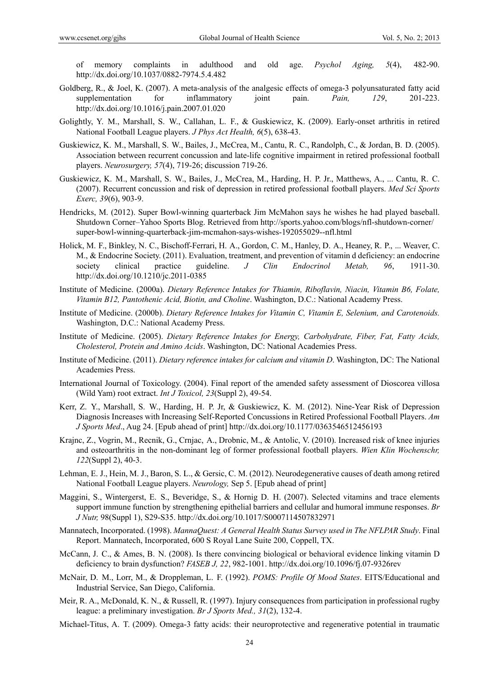of memory complaints in adulthood and old age. *Psychol Aging, 5*(4), 482-90. http://dx.doi.org/10.1037/0882-7974.5.4.482

- Goldberg, R., & Joel, K. (2007). A meta-analysis of the analgesic effects of omega-3 polyunsaturated fatty acid supplementation for inflammatory joint pain. *Pain, 129*, 201-223. http://dx.doi.org/10.1016/j.pain.2007.01.020
- Golightly, Y. M., Marshall, S. W., Callahan, L. F., & Guskiewicz, K. (2009). Early-onset arthritis in retired National Football League players. *J Phys Act Health, 6*(5), 638-43.
- Guskiewicz, K. M., Marshall, S. W., Bailes, J., McCrea, M., Cantu, R. C., Randolph, C., & Jordan, B. D. (2005). Association between recurrent concussion and late-life cognitive impairment in retired professional football players. *Neurosurgery, 57*(4), 719-26; discussion 719-26.
- Guskiewicz, K. M., Marshall, S. W., Bailes, J., McCrea, M., Harding, H. P. Jr., Matthews, A., ... Cantu, R. C. (2007). Recurrent concussion and risk of depression in retired professional football players. *Med Sci Sports Exerc, 39*(6), 903-9.
- Hendricks, M. (2012). Super Bowl-winning quarterback Jim McMahon says he wishes he had played baseball. Shutdown Corner–Yahoo Sports Blog. Retrieved from http://sports.yahoo.com/blogs/nfl-shutdown-corner/ super-bowl-winning-quarterback-jim-mcmahon-says-wishes-192055029--nfl.html
- Holick, M. F., Binkley, N. C., Bischoff-Ferrari, H. A., Gordon, C. M., Hanley, D. A., Heaney, R. P., ... Weaver, C. M., & Endocrine Society. (2011). Evaluation, treatment, and prevention of vitamin d deficiency: an endocrine society clinical practice guideline. *J Clin Endocrinol Metab, 96*, 1911-30. http://dx.doi.org/10.1210/jc.2011-0385
- Institute of Medicine. (2000a). *Dietary Reference Intakes for Thiamin, Riboflavin, Niacin, Vitamin B6, Folate, Vitamin B12, Pantothenic Acid, Biotin, and Choline*. Washington, D.C.: National Academy Press.
- Institute of Medicine. (2000b). *Dietary Reference Intakes for Vitamin C, Vitamin E, Selenium, and Carotenoids.*  Washington, D.C.: National Academy Press.
- Institute of Medicine. (2005). *Dietary Reference Intakes for Energy, Carbohydrate, Fiber, Fat, Fatty Acids, Cholesterol, Protein and Amino Acids*. Washington, DC: National Academies Press.
- Institute of Medicine. (2011). *Dietary reference intakes for calcium and vitamin D*. Washington, DC: The National Academies Press.
- International Journal of Toxicology. (2004). Final report of the amended safety assessment of Dioscorea villosa (Wild Yam) root extract. *Int J Toxicol, 23*(Suppl 2), 49-54.
- Kerr, Z. Y., Marshall, S. W., Harding, H. P. Jr, & Guskiewicz, K. M. (2012). Nine-Year Risk of Depression Diagnosis Increases with Increasing Self-Reported Concussions in Retired Professional Football Players. *Am J Sports Med*., Aug 24. [Epub ahead of print] http://dx.doi.org/10.1177/0363546512456193
- Krajnc, Z., Vogrin, M., Recnik, G., Crnjac, A., Drobnic, M., & Antolic, V. (2010). Increased risk of knee injuries and osteoarthritis in the non-dominant leg of former professional football players. *Wien Klin Wochenschr, 122*(Suppl 2), 40-3.
- Lehman, E. J., Hein, M. J., Baron, S. L., & Gersic, C. M. (2012). Neurodegenerative causes of death among retired National Football League players. *Neurology,* Sep 5. [Epub ahead of print]
- Maggini, S., Wintergerst, E. S., Beveridge, S., & Hornig D. H. (2007). Selected vitamins and trace elements support immune function by strengthening epithelial barriers and cellular and humoral immune responses. *Br J Nutr,* 98(Suppl 1), S29-S35. http://dx.doi.org/10.1017/S0007114507832971
- Mannatech, Incorporated. (1998). *MannaQuest: A General Health Status Survey used in The NFLPAR Study*. Final Report. Mannatech, Incorporated, 600 S Royal Lane Suite 200, Coppell, TX.
- McCann, J. C., & Ames, B. N. (2008). Is there convincing biological or behavioral evidence linking vitamin D deficiency to brain dysfunction? *FASEB J, 22*, 982-1001. http://dx.doi.org/10.1096/fj.07-9326rev
- McNair, D. M., Lorr, M., & Droppleman, L. F. (1992). *POMS: Profile Of Mood States*. EITS/Educational and Industrial Service, San Diego, California.
- Meir, R. A., McDonald, K. N., & Russell, R. (1997). Injury consequences from participation in professional rugby league: a preliminary investigation. *Br J Sports Med., 31*(2), 132-4.
- Michael-Titus, A. T. (2009). Omega-3 fatty acids: their neuroprotective and regenerative potential in traumatic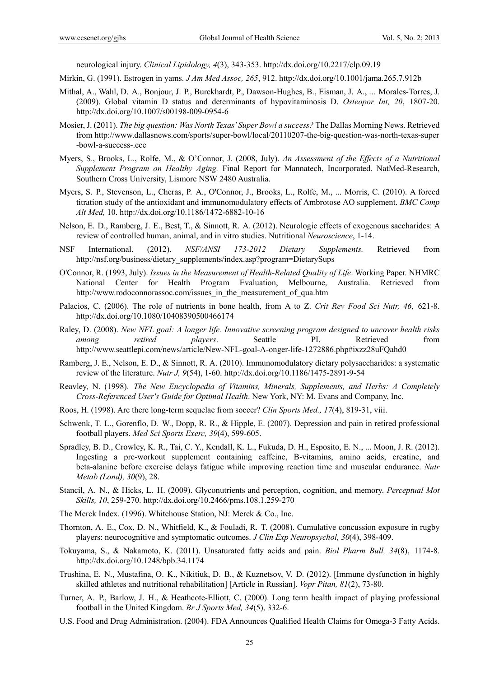neurological injury. *Clinical Lipidology, 4*(3), 343-353. http://dx.doi.org/10.2217/clp.09.19

- Mirkin, G. (1991). Estrogen in yams. *J Am Med Assoc, 265*, 912. http://dx.doi.org/10.1001/jama.265.7.912b
- Mithal, A., Wahl, D. A., Bonjour, J. P., Burckhardt, P., Dawson-Hughes, B., Eisman, J. A., ... Morales-Torres, J. (2009). Global vitamin D status and determinants of hypovitaminosis D. *Osteopor Int, 20*, 1807-20. http://dx.doi.org/10.1007/s00198-009-0954-6
- Mosier, J. (2011). *The big question: Was North Texas' Super Bowl a success?* The Dallas Morning News. Retrieved from http://www.dallasnews.com/sports/super-bowl/local/20110207-the-big-question-was-north-texas-super -bowl-a-success-.ece
- Myers, S., Brooks, L., Rolfe, M., & O'Connor, J. (2008, July). *An Assessment of the Effects of a Nutritional Supplement Program on Healthy Aging.* Final Report for Mannatech, Incorporated. NatMed-Research, Southern Cross University, Lismore NSW 2480 Australia.
- Myers, S. P., Stevenson, L., Cheras, P. A., O'Connor, J., Brooks, L., Rolfe, M., ... Morris, C. (2010). A forced titration study of the antioxidant and immunomodulatory effects of Ambrotose AO supplement. *BMC Comp Alt Med,* 10. http://dx.doi.org/10.1186/1472-6882-10-16
- Nelson, E. D., Ramberg, J. E., Best, T., & Sinnott, R. A. (2012). Neurologic effects of exogenous saccharides: A review of controlled human, animal, and in vitro studies. Nutritional *Neuroscience*, 1-14.
- NSF International. (2012). *NSF/ANSI 173-2012 Dietary Supplements.* Retrieved from http://nsf.org/business/dietary\_supplements/index.asp?program=DietarySups
- O'Connor, R. (1993, July). *Issues in the Measurement of Health-Related Quality of Life*. Working Paper. NHMRC National Center for Health Program Evaluation, Melbourne, Australia. Retrieved from http://www.rodoconnorassoc.com/issues\_in\_the\_measurement\_of\_qua.htm
- Palacios, C. (2006). The role of nutrients in bone health, from A to Z. *Crit Rev Food Sci Nutr, 46*, 621-8. http://dx.doi.org/10.1080/10408390500466174
- Raley, D. (2008). *New NFL goal: A longer life. Innovative screening program designed to uncover health risks among retired players*. Seattle PI. Retrieved from http://www.seattlepi.com/news/article/New-NFL-goal-A-onger-life-1272886.php#ixzz28uFQahd0
- Ramberg, J. E., Nelson, E. D., & Sinnott, R. A. (2010). Immunomodulatory dietary polysaccharides: a systematic review of the literature. *Nutr J, 9*(54), 1-60. http://dx.doi.org/10.1186/1475-2891-9-54
- Reavley, N. (1998). *The New Encyclopedia of Vitamins, Minerals, Supplements, and Herbs: A Completely Cross-Referenced User's Guide for Optimal Health*. New York, NY: M. Evans and Company, Inc.
- Roos, H. (1998). Are there long-term sequelae from soccer? *Clin Sports Med., 17*(4), 819-31, viii.
- Schwenk, T. L., Gorenflo, D. W., Dopp, R. R., & Hipple, E. (2007). Depression and pain in retired professional football players. *Med Sci Sports Exerc, 39*(4), 599-605.
- Spradley, B. D., Crowley, K. R., Tai, C. Y., Kendall, K. L., Fukuda, D. H., Esposito, E. N., ... Moon, J. R. (2012). Ingesting a pre-workout supplement containing caffeine, B-vitamins, amino acids, creatine, and beta-alanine before exercise delays fatigue while improving reaction time and muscular endurance. *Nutr Metab (Lond), 30*(9), 28.
- Stancil, A. N., & Hicks, L. H. (2009). Glyconutrients and perception, cognition, and memory. *Perceptual Mot Skills, 10*, 259-270. http://dx.doi.org/10.2466/pms.108.1.259-270
- The Merck Index. (1996). Whitehouse Station, NJ: Merck & Co., Inc.
- Thornton, A. E., Cox, D. N., Whitfield, K., & Fouladi, R. T. (2008). Cumulative concussion exposure in rugby players: neurocognitive and symptomatic outcomes. *J Clin Exp Neuropsychol, 30*(4), 398-409.
- Tokuyama, S., & Nakamoto, K. (2011). Unsaturated fatty acids and pain. *Biol Pharm Bull, 34*(8), 1174-8. http://dx.doi.org/10.1248/bpb.34.1174
- Trushina, E. N., Mustafina, O. K., Nikitiuk, D. B., & Kuznetsov, V. D. (2012). [Immune dysfunction in highly skilled athletes and nutritional rehabilitation] [Article in Russian]. *Vopr Pitan, 81*(2), 73-80.
- Turner, A. P., Barlow, J. H., & Heathcote-Elliott, C. (2000). Long term health impact of playing professional football in the United Kingdom. *Br J Sports Med, 34*(5), 332-6.
- U.S. Food and Drug Administration. (2004). FDA Announces Qualified Health Claims for Omega-3 Fatty Acids.